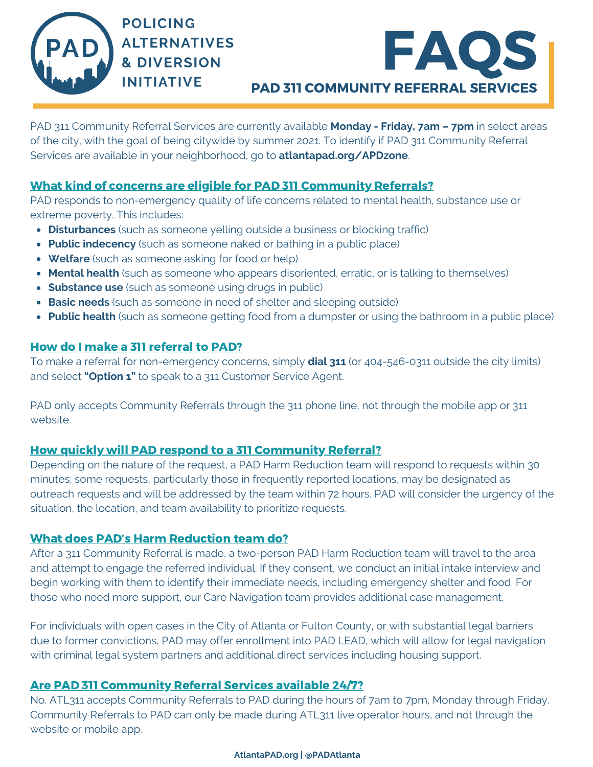



PAD 311 Community Referral Services are currently available **Monday - Friday, 7am – 7pm** in select areas of the city, with the goal of being citywide by summer 2021. To identify if PAD 311 Community Referral Services are available in your neighborhood, go to **atlantapad.org/APDzone**.

# What kind of concerns are eligible for PAD 311 Community Referrals?

PAD responds to non-emergency quality of life concerns related to mental health, substance use or extreme poverty. This includes:

- **Disturbances** (such as someone yelling outside a business or blocking traffic)
- **Public indecency** (such as someone naked or bathing in a public place)
- **Welfare** (such as someone asking for food or help)
- **Mental health** (such as someone who appears disoriented, erratic, or is talking to themselves)
- **Substance use** (such as someone using drugs in public)
- **Basic needs** (such as someone in need of shelter and sleeping outside)
- **Public health** (such as someone getting food from a dumpster or using the bathroom in a public place)

# How do I make a 311 referral to PAD?

To make a referral for non-emergency concerns, simply **dial 311** (or 404-546-0311 outside the city limits) and select **"Option 1"** to speak to a 311 Customer Service Agent.

PAD only accepts Community Referrals through the 311 phone line, not through the mobile app or 311 website.

# How quickly will PAD respond to a 311 Community Referral?

Depending on the nature of the request, a PAD Harm Reduction team will respond to requests within 30 minutes; some requests, particularly those in frequently reported locations, may be designated as outreach requests and will be addressed by the team within 72 hours. PAD will consider the urgency of the situation, the location, and team availability to prioritize requests.

## What does PAD's Harm Reduction team do?

After a 311 Community Referral is made, a two-person PAD Harm Reduction team will travel to the area and attempt to engage the referred individual. If they consent, we conduct an initial intake interview and begin working with them to identify their immediate needs, including emergency shelter and food. For those who need more support, our Care Navigation team provides additional case management.

For individuals with open cases in the City of Atlanta or Fulton County, or with substantial legal barriers due to former convictions, PAD may offer enrollment into PAD LEAD, which will allow for legal navigation with criminal legal system partners and additional direct services including housing support.

## Are PAD 311 Community Referral Services available 24/7?

No. ATL311 accepts Community Referrals to PAD during the hours of 7am to 7pm, Monday through Friday. Community Referrals to PAD can only be made during ATL311 live operator hours, and not through the website or mobile app.

#### **AtlantaPAD.org | @PADAtlanta**